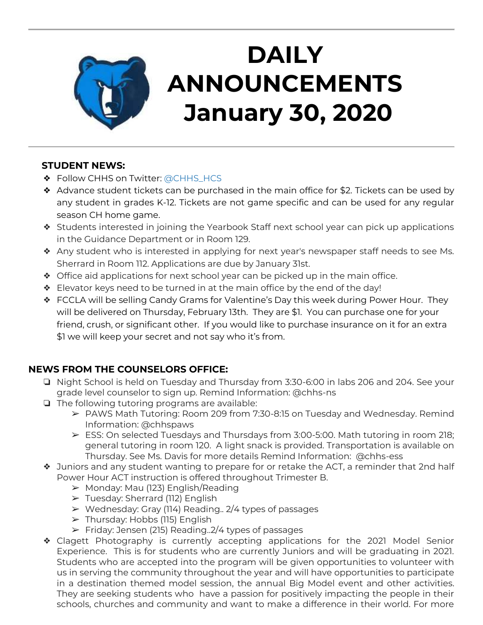

# **DAILY ANNOUNCEMENTS January 30, 2020**

### **STUDENT NEWS:**

- ❖ Follow CHHS on Twitter: [@CHHS\\_HCS](https://twitter.com/CHHS_HCS)
- ❖ Advance student tickets can be purchased in the main office for \$2. Tickets can be used by any student in grades K-12. Tickets are not game specific and can be used for any regular season CH home game.
- ❖ Students interested in joining the Yearbook Staff next school year can pick up applications in the Guidance Department or in Room 129.
- ❖ Any student who is interested in applying for next year's newspaper staff needs to see Ms. Sherrard in Room 112. Applications are due by January 31st.
- ❖ Office aid applications for next school year can be picked up in the main office.
- ❖ Elevator keys need to be turned in at the main office by the end of the day!
- ❖ FCCLA will be selling Candy Grams for Valentine's Day this week during Power Hour. They will be delivered on Thursday, February 13th. They are \$1. You can purchase one for your friend, crush, or significant other. If you would like to purchase insurance on it for an extra \$1 we will keep your secret and not say who it's from.

## **NEWS FROM THE COUNSELORS OFFICE:**

- ❏ Night School is held on Tuesday and Thursday from 3:30-6:00 in labs 206 and 204. See your grade level counselor to sign up. Remind Information: @chhs-ns
- ❏ The following tutoring programs are available:
	- ➢ PAWS Math Tutoring: Room 209 from 7:30-8:15 on Tuesday and Wednesday. Remind Information: @chhspaws
	- $\triangleright$  ESS: On selected Tuesdays and Thursdays from 3:00-5:00. Math tutoring in room 218; general tutoring in room 120. A light snack is provided. Transportation is available on Thursday. See Ms. Davis for more details Remind Information: @chhs-ess
- ❖ Juniors and any student wanting to prepare for or retake the ACT, a reminder that 2nd half Power Hour ACT instruction is offered throughout Trimester B.
	- $\triangleright$  Monday: Mau (123) English/Reading
	- ➢ Tuesday: Sherrard (112) English
	- ➢ Wednesday: Gray (114) Reading.. 2/4 types of passages
	- $\triangleright$  Thursday: Hobbs (115) English
	- $\triangleright$  Friday: Jensen (215) Reading. 2/4 types of passages
- ❖ Clagett Photography is currently accepting applications for the 2021 Model Senior Experience. This is for students who are currently Juniors and will be graduating in 2021. Students who are accepted into the program will be given opportunities to volunteer with us in serving the community throughout the year and will have opportunities to participate in a destination themed model session, the annual Big Model event and other activities. They are seeking students who have a passion for positively impacting the people in their schools, churches and community and want to make a difference in their world. For more